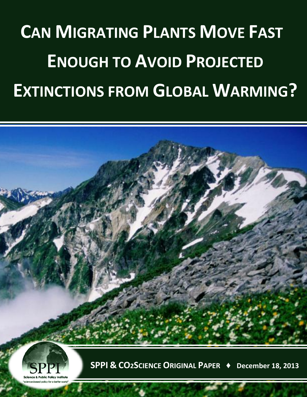## **CAN MIGRATING PLANTS MOVE FAST ENOUGH TO AVOID PROJECTED EXTINCTIONS FROM GLOBAL WARMING?**



**SPPI & CO2SCIENCE ORIGINAL PAPER ♦ December 18, 2013**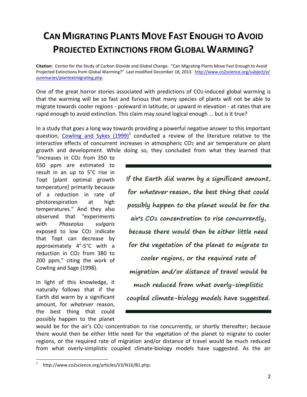## **CAN MIGRATING PLANTS MOVE FAST ENOUGH TO AVOID PROJECTED EXTINCTIONS FROM GLOBAL WARMING?**

**Citation**: Center for the Study of Carbon Dioxide and Global Change. "Can Migrating Plants Move Fast Enough to Avoid Projected Extinctions from Global Warming?" Last modified December 18, 2013. [http://www.co2science.org/subject/e/](http://www.co2science.org/subject/e/%20summaries/plantextmigrating.php) [summaries/plantextmigrating.php.](http://www.co2science.org/subject/e/%20summaries/plantextmigrating.php)

One of the great horror stories associated with predictions of CO2-induced global warming is that the warming will be so fast and furious that many species of plants will not be able to migrate towards cooler regions - poleward in latitude, or upward in elevation - at rates that are rapid enough to avoid extinction. This claim may sound logical enough ... but is it true?

In a study that goes a long way towards providing a powerful negative answer to this important question, [Cowling and Sykes \(1999\)](http://www.co2science.org/articles/V3/N16/B1.php)<sup>1</sup> conducted a review of the literature relative to the interactive effects of concurrent increases in atmospheric CO2 and air temperature on plant growth and development. While doing so, they concluded from what they learned that

"increases in CO2 from 350 to 650 ppm are estimated to result in an up to 5°C rise in Topt [plant optimal growth temperature] primarily because of a reduction in rate of photorespiration at high temperatures." And they also observed that "experiments with *Phaseolus vulgaris* exposed to low CO2 indicate that Topt can decrease by approximately 4°-5°C with a reduction in CO2 from 380 to 200 ppm," citing the work of Cowling and Sage (1998).

In light of this knowledge, it naturally follows that if the Earth did warm by a significant amount, for *whatever* reason, the best thing that could possibly happen to the planet **If the Earth did warm by a significant amount, for whatever reason, the best thing that could possibly happen to the planet would be for the air's CO2 concentration to rise concurrently, because there would then be either little need for the vegetation of the planet to migrate to cooler regions, or the required rate of migration and/or distance of travel would be much reduced from what overly-simplistic coupled climate-biology models have suggested.**

would be for the air's CO2 concentration to rise concurrently, or shortly thereafter; because there would then be either little need for the vegetation of the planet to migrate to cooler regions, or the required rate of migration and/or distance of travel would be much reduced from what overly-simplistic coupled climate-biology models have suggested. As the air

 $\overline{a}$ 1 http://www.co2science.org/articles/V3/N16/B1.php.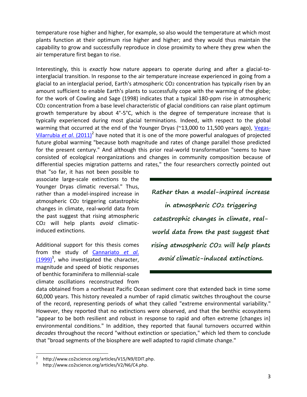temperature rose higher and higher, for example, so also would the temperature at which most plants function at their optimum rise higher and higher; and they would thus maintain the capability to grow and successfully reproduce in close proximity to where they grew when the air temperature first began to rise.

Interestingly, this is *exactly* how nature appears to operate during and after a glacial-tointerglacial transition. In response to the air temperature increase experienced in going from a glacial to an interglacial period, Earth's atmospheric CO2 concentration has typically risen by an amount sufficient to enable Earth's plants to successfully cope with the warming of the globe; for the work of Cowling and Sage (1998) indicates that a typical 180-ppm rise in atmospheric CO2 concentration from a base level characteristic of glacial conditions can raise plant optimum growth temperature by about 4°-5°C, which is the degree of temperature increase that is typically experienced during most glacial terminations. Indeed, with respect to the global warming that occurred at the end of the Younger Dryas (~13,000 to 11,500 years ago), [Vegas-](http://www.co2science.org/articles/V15/N9/EDIT.php)[Vilarrubia](http://www.co2science.org/articles/V15/N9/EDIT.php) et al. (2011)<sup>2</sup> have noted that it is one of the more powerful analogues of projected future global warming "because both magnitude and rates of change parallel those predicted for the present century." And although this prior real-world transformation "seems to have consisted of ecological reorganizations and changes in community composition because of differential species migration patterns and rates," the four researchers correctly pointed out

that "so far, it has not been possible to associate large-scale extinctions to the Younger Dryas climatic reversal." Thus, rather than a model-inspired increase in atmospheric CO2 triggering catastrophic changes in climate, real-world data from the past suggest that rising atmospheric CO2 will help plants *avoid* climaticinduced extinctions.

Additional support for this thesis comes from the study of [Cannariato](http://www.co2science.org/articles/V2/N6/C4.php) *et al*.  $(1999)^3$  $(1999)^3$ , who investigated the character, magnitude and speed of biotic responses of benthic foraminifera to millennial-scale climate oscillations reconstructed from

**Rather than a model-inspired increase in atmospheric CO2 triggering catastrophic changes in climate, realworld data from the past suggest that rising atmospheric CO2 will help plants avoid climatic-induced extinctions.**

data obtained from a northeast Pacific Ocean sediment core that extended back in time some 60,000 years. This history revealed a number of rapid climatic switches throughout the course of the record, representing periods of what they called "extreme environmental variability." However, they reported that no extinctions were observed, and that the benthic ecosystems "appear to be both resilient and robust in response to rapid and often extreme [changes in] environmental conditions." In addition, they reported that faunal turnovers occurred within *decades* throughout the record "without extinction or speciation," which led them to conclude that "broad segments of the biosphere are well adapted to rapid climate change."

 $\overline{a}$ 

<sup>2</sup> http://www.co2science.org/articles/V15/N9/EDIT.php.

<sup>3</sup> http://www.co2science.org/articles/V2/N6/C4.php.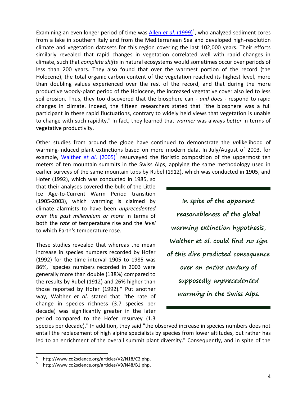Examining an even longer period of time was *Allen et al.* (1999)<sup>4</sup>, who analyzed sediment cores from a lake in southern Italy and from the Mediterranean Sea and developed high-resolution climate and vegetation datasets for this region covering the last 102,000 years. Their efforts similarly revealed that rapid changes in vegetation correlated well with rapid changes in climate, such that *complete shifts* in natural ecosystems would sometimes occur over periods of less than 200 years. They also found that over the warmest portion of the record (the Holocene), the total organic carbon content of the vegetation reached its highest level, more than doubling values experienced over the rest of the record, and that during the more productive woody-plant period of the Holocene, the increased vegetative cover also led to less soil erosion. Thus, they too discovered that the biosphere can - *and does* - respond to rapid changes in climate. Indeed, the fifteen researchers stated that "the biosphere was a full participant in these rapid fluctuations, contrary to widely held views that vegetation is unable to change with such rapidity." In fact, they learned that *warmer* was always *better* in terms of vegetative productivity.

Other studies from around the globe have continued to demonstrate the *un*likelihood of warming-induced plant extinctions based on more modern data. In July/August of 2003, for example, *[Walther](http://www.co2science.org/articles/V9/N48/B1.php) et al.* (2005)<sup>5</sup> resurveyed the floristic composition of the uppermost ten meters of ten mountain summits in the Swiss Alps, applying the same methodology used in earlier surveys of the same mountain tops by Rubel (1912), which was conducted in 1905, and

Hofer (1992), which was conducted in 1985, so that their analyses covered the bulk of the Little Ice Age-to-Current Warm Period transition (1905-2003), which warming is claimed by climate alarmists to have been *unprecedented over the past millennium or more* in terms of both the *rate* of temperature rise and the *level* to which Earth's temperature rose.

These studies revealed that whereas the mean increase in species numbers recorded by Hofer (1992) for the time interval 1905 to 1985 was 86%, "species numbers recorded in 2003 were generally more than double (138%) compared to the results by Rubel (1912) and 26% higher than those reported by Hofer (1992)." Put another way, Walther *et al*. stated that "the rate of change in species richness (3.7 species per decade) was significantly greater in the later period compared to the Hofer resurvey (1.3

**In spite of the apparent reasonableness of the global warming extinction hypothesis, Walther et al. could find no sign of this dire predicted consequence over an entire century of supposedly unprecedented warming in the Swiss Alps.**

species per decade)." In addition, they said "the observed increase in species numbers does not entail the replacement of high alpine specialists by species from lower altitudes, but rather has led to an enrichment of the overall summit plant diversity." Consequently, and in spite of the

 $\overline{a}$ 

<sup>4</sup> http://www.co2science.org/articles/V2/N18/C2.php.

<sup>5</sup> http://www.co2science.org/articles/V9/N48/B1.php.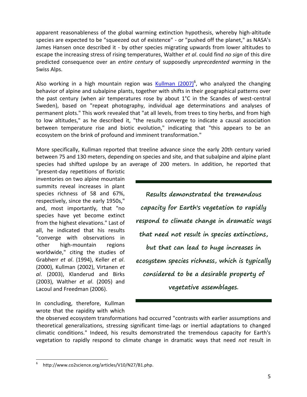apparent reasonableness of the global warming extinction hypothesis, whereby high-altitude species are expected to be "squeezed out of existence" - or "pushed off the planet," as NASA's James Hansen once described it - by other species migrating upwards from lower altitudes to escape the increasing stress of rising temperatures, Walther *et al*. could find *no sign* of this dire predicted consequence over an *entire century* of supposedly *unprecedented warming* in the Swiss Alps.

Also working in a high mountain region was *[Kullman \(2007\)](http://www.co2science.org/articles/V10/N27/B1.php)*<sup>6</sup>, who analyzed the changing behavior of alpine and subalpine plants, together with shifts in their geographical patterns over the past century (when air temperatures rose by about 1°C in the Scandes of west-central Sweden), based on "repeat photography, individual age determinations and analyses of permanent plots." This work revealed that "at all levels, from trees to tiny herbs, and from high to low altitudes," as he described it, "the results converge to indicate a causal association between temperature rise and biotic evolution," indicating that "this appears to be an ecosystem on the brink of profound and imminent transformation."

More specifically, Kullman reported that treeline advance since the early 20th century varied between 75 and 130 meters, depending on species and site, and that subalpine and alpine plant species had shifted upslope by an average of 200 meters. In addition, he reported that

"present-day repetitions of floristic inventories on two alpine mountain summits reveal increases in plant species richness of 58 and 67%, respectively, since the early 1950s," and, most importantly, that "no species have yet become extinct from the highest elevations." Last of all, he indicated that his results "converge with observations in other high-mountain regions worldwide," citing the studies of Grabherr *et al*. (1994), Keller *et al*. (2000), Kullman (2002), Virtanen *et al*. (2003), Klanderud and Birks (2003), Walther *et al*. (2005) and Lacoul and Freedman (2006).

In concluding, therefore, Kullman wrote that the rapidity with which

 $\overline{a}$ 

**Results demonstrated the tremendous capacity for Earth's vegetation to rapidly respond to climate change in dramatic ways that need not result in species extinctions, but that can lead to huge increases in ecosystem species richness, which is typically considered to be a desirable property of vegetative assemblages.**

the observed ecosystem transformations had occurred "contrasts with earlier assumptions and theoretical generalizations, stressing significant time-lags or inertial adaptations to changed climatic conditions." Indeed, his results demonstrated the tremendous capacity for Earth's vegetation to rapidly respond to climate change in dramatic ways that need *not* result in

<sup>6</sup> http://www.co2science.org/articles/V10/N27/B1.php.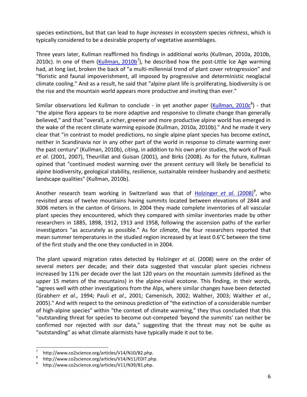species extinctions, but that can lead to *huge increases* in ecosystem species *richness*, which is typically considered to be a desirable property of vegetative assemblages.

Three years later, Kullman reaffirmed his findings in additional works (Kullman, 2010a, 2010b, 2010c). In one of them [\(Kullman, 2010b](http://www.co2science.org/articles/V14/N10/B2.php)<sup>7</sup>), he described how the post-Little Ice Age warming had, at long last, broken the back of "a multi-millennial trend of plant cover retrogression" and "floristic and faunal impoverishment, all imposed by progressive and deterministic neoglacial climate cooling." And as a result, he said that "alpine plant life is proliferating, biodiversity is on the rise and the mountain world appears more productive and inviting than ever."

Similar observations led Kullman to conclude - in yet another paper [\(Kullman, 2010c](http://www.co2science.org/articles/V14/N11/EDIT.php)<sup>8</sup>) - that "the alpine flora appears to be more adaptive and responsive to climate change than generally believed," and that "overall, a richer, greener and more productive alpine world has emerged in the wake of the recent climate warming episode (Kullman, 2010a, 2010b)." And he made it very clear that "in contrast to model predictions, no single alpine plant species has become extinct, neither in Scandinavia nor in any other part of the world in response to climate warming over the past century" (Kullman, 2010b), *citing*, in addition to his own prior studies, the work of Pauli *et al*. (2001, 2007), Theurillat and Guisan (2001), and Birks (2008). As for the future, Kullman opined that "continued modest warming over the present century will likely be beneficial to alpine biodiversity, geological stability, resilience, sustainable reindeer husbandry and aesthetic landscape qualities" (Kullman, 2010b).

Another research team working in Switzerland was that of [Holzinger](http://www.co2science.org/articles/V11/N39/B1.php) et al. (2008)<sup>9</sup>, who revisited areas of twelve mountains having summits located between elevations of 2844 and 3006 meters in the canton of Grisons. In 2004 they made complete inventories of all vascular plant species they encountered, which they compared with similar inventories made by other researchers in 1885, 1898, 1912, 1913 and 1958, following the ascension paths of the earlier investigators "as accurately as possible." As for *climate*, the four researchers reported that mean summer temperatures in the studied region increased by at least 0.6°C between the time of the first study and the one they conducted in in 2004.

The plant upward migration rates detected by Holzinger *et al*. (2008) were on the order of several meters per decade; and their data suggested that vascular plant species richness increased by 11% per decade over the last 120 years on the mountain *summits* (defined as the upper 15 meters of the mountains) in the alpine-nival ecotone. This finding, in their words, "agrees well with other investigations from the Alps, where similar changes have been detected (Grabherr *et al*., 1994; Pauli *et al*., 2001; Camenisch, 2002; Walther, 2003; Walther *et al*., 2005)." And with respect to the ominous prediction of "the extinction of a considerable number of high-alpine species" within "the context of climate warming," they thus concluded that this "outstanding threat for species to become out-competed 'beyond the summits' can neither be confirmed nor rejected with our data," suggesting that the threat may not be quite as "outstanding" as what climate alarmists have typically made it out to be.

 $\overline{a}$ 

<sup>7</sup> http://www.co2science.org/articles/V14/N10/B2.php.

<sup>8</sup> http://www.co2science.org/articles/V14/N11/EDIT.php.

<sup>9</sup> http://www.co2science.org/articles/V11/N39/B1.php.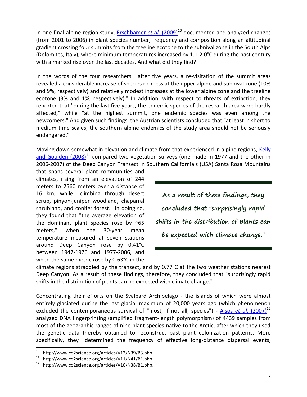In one final alpine region study, [Erschbamer](http://www.co2science.org/articles/V12/N39/B3.php) *et al.* (2009)<sup>10</sup> documented and analyzed changes (from 2001 to 2006) in plant species number, frequency and composition along an altitudinal gradient crossing four summits from the treeline ecotone to the subnival zone in the South Alps (Dolomites, Italy), where minimum temperatures increased by 1.1-2.0°C during the past century with a marked rise over the last decades. And what did they find?

In the words of the four researchers, "after five years, a re-visitation of the summit areas revealed a considerable increase of species richness at the upper alpine and subnival zone (10% and 9%, respectively) and relatively modest increases at the lower alpine zone and the treeline ecotone (3% and 1%, respectively)." In addition, with respect to threats of extinction, they reported that "during the last five years, the endemic species of the research area were hardly affected," while "at the highest summit, one endemic species was even among the newcomers." And given such findings, the Austrian scientists concluded that "at least in short to medium time scales, the southern alpine endemics of the study area should not be seriously endangered."

Moving down somewhat in elevation and climate from that experienced in alpine regions. Kelly and Goulden  $(2008)^{11}$  compared two vegetation surveys (one made in 1977 and the other in 2006-2007) of the Deep Canyon Transect in Southern California's (USA) Santa Rosa Mountains

that spans several plant communities and climates, rising from an elevation of 244 meters to 2560 meters over a distance of 16 km, while "climbing through desert scrub, pinyon-juniper woodland, chaparral shrubland, and conifer forest." In doing so, they found that "the average elevation of the dominant plant species rose by  $\approx$ 65 meters," when the 30-year mean temperature measured at seven stations around Deep Canyon rose by 0.41°C between 1947-1976 and 1977-2006, and when the same metric rose by 0.63°C in the

**As a result of these findings, they concluded that "surprisingly rapid shifts in the distribution of plants can be expected with climate change."**

climate regions straddled by the transect, and by 0.77°C at the two weather stations nearest Deep Canyon. As a result of these findings, therefore, they concluded that "surprisingly rapid shifts in the distribution of plants can be expected with climate change."

Concentrating their efforts on the Svalbard Archipelago - the islands of which were almost entirely glaciated during the last glacial maximum of 20,000 years ago (which phenomenon excluded the contemporaneous survival of "most, if not all, species") - Alsos *et al.* (2007)<sup>12</sup> analyzed DNA fingerprinting (amplified fragment-length polymorphism) of 4439 samples from most of the geographic ranges of nine plant species native to the Arctic, after which they used the genetic data thereby obtained to reconstruct past plant colonization patterns. More specifically, they "determined the frequency of effective long-distance dispersal events,

 $10\,$ <sup>10</sup> http://www.co2science.org/articles/V12/N39/B3.php.<br><sup>11</sup> http://www.co2science.org/articles/V11/N41/B1.php

http://www.co2science.org/articles/V11/N41/B1.php.

<sup>12</sup> http://www.co2science.org/articles/V10/N38/B1.php.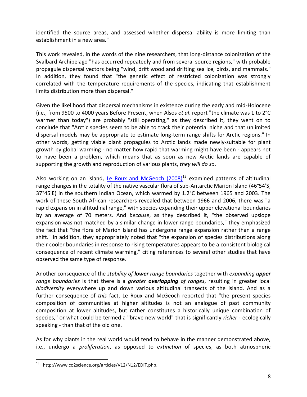identified the source areas, and assessed whether dispersal ability is more limiting than establishment in a new area."

This work revealed, in the words of the nine researchers, that long-distance colonization of the Svalbard Archipelago "has occurred repeatedly and from several source regions," with probable propagule dispersal vectors being "wind, drift wood and drifting sea ice, birds, and mammals." In addition, they found that "the genetic effect of restricted colonization was strongly correlated with the temperature requirements of the species, indicating that establishment limits distribution more than dispersal."

Given the likelihood that dispersal mechanisms in existence during the early and mid-Holocene (i.e., from 9500 to 4000 years Before Present, when Alsos *et al*. report "the climate was 1 to 2°C warmer than today") are probably "still operating," as they described it, they went on to conclude that "Arctic species seem to be able to track their potential niche and that unlimited dispersal models may be appropriate to estimate long-term range shifts for Arctic regions." In other words, getting viable plant propagules to Arctic lands made newly-suitable for plant growth by global warming - no matter how rapid that warming might have been - appears not to have been a problem, which means that as soon as new Arctic lands are capable of supporting the growth and reproduction of various plants, *they will do so*.

Also working on an island, Le Roux and McGeoch  $(2008)^{13}$  examined patterns of altitudinal range changes in the totality of the native vascular flora of sub-Antarctic Marion Island (46°54'S, 37°45'E) in the southern Indian Ocean, which warmed by 1.2°C between 1965 and 2003. The work of these South African researchers revealed that between 1966 and 2006, there was "a rapid expansion in altitudinal range," with species expanding their upper elevational boundaries by an average of 70 meters. And *because*, as they described it, "the observed upslope expansion was not matched by a similar change in lower range boundaries," they emphasized the fact that "the flora of Marion Island has undergone range expansion rather than a range shift." In addition, they appropriately noted that "the expansion of species distributions along their cooler boundaries in response to rising temperatures appears to be a consistent biological consequence of recent climate warming," citing references to several other studies that have observed the same type of response.

Another consequence of the *stability of lower range boundaries* together with *expanding upper range boundaries* is that there is a *greater overlapping of ranges*, resulting in greater local *biodiversity* everywhere up and down various altitudinal transects of the island. And as a further consequence of *this* fact, Le Roux and McGeoch reported that "the present species composition of communities at higher altitudes is not an analogue of past community composition at lower altitudes, but rather constitutes a historically unique combination of species," or what could be termed a "brave new world" that is significantly *richer* - ecologically speaking - than that of the old one.

As for why plants in the real world would tend to behave in the manner demonstrated above, i.e., undergo a *proliferation*, as opposed to *extinction* of species, as both atmospheric

 $\overline{a}$ http://www.co2science.org/articles/V12/N12/EDIT.php.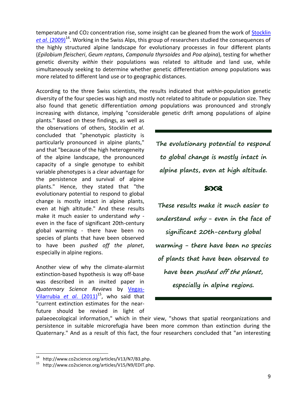temperature and CO2 concentration rise, some insight can be gleaned from the work of [Stocklin](http://www.co2science.org/articles/V13/N7/B3.php)  et al[. \(2009\)](http://www.co2science.org/articles/V13/N7/B3.php)<sup>14</sup>. Working in the Swiss Alps, this group of researchers studied the consequences of the highly structured alpine landscape for evolutionary processes in four different plants (*Epilobium fleischeri*, *Geum reptans*, *Campanula thyrsoides* and *Poa alpina*), testing for whether genetic diversity *within* their populations was related to altitude and land use, while simultaneously seeking to determine whether genetic differentiation *among* populations was more related to different land use or to geographic distances.

According to the three Swiss scientists, the results indicated that *within*-population genetic diversity of the four species was high and mostly not related to altitude or population size. They also found that genetic differentiation *among* populations was pronounced and strongly increasing with distance, implying "considerable genetic drift among populations of alpine

plants." Based on these findings, as well as the observations of others, Stocklin *et al*. concluded that "phenotypic plasticity is particularly pronounced in alpine plants," and that "because of the high heterogeneity of the alpine landscape, the pronounced capacity of a single genotype to exhibit variable phenotypes is a clear advantage for the persistence and survival of alpine plants." Hence, they stated that "the evolutionary potential to respond to global change is mostly intact in alpine plants, even at high altitude." And these results make it much easier to understand *why* even in the face of significant 20th-century global warming - there have been no species of plants that have been observed to have been *pushed off the planet*, especially in alpine regions.

Another view of why the climate-alarmist extinction-based hypothesis is way off-base was described in an invited paper in *Quaternary Science Reviews* by [Vegas-](http://www.co2science.org/articles/V15/N9/EDIT.php)[Vilarrubia](http://www.co2science.org/articles/V15/N9/EDIT.php) *et al.* (2011)<sup>15</sup>, who said that "current extinction estimates for the nearfuture should be revised in light of **The evolutionary potential to respond to global change is mostly intact in alpine plants, even at high altitude.** 

## **8003**

**These results make it much easier to understand why - even in the face of significant 20th-century global warming - there have been no species of plants that have been observed to have been pushed off the planet, especially in alpine regions.**

palaeoecological information," which in their view, "shows that spatial reorganizations and persistence in suitable microrefugia have been more common than extinction during the Quaternary." And as a result of this fact, the four researchers concluded that "an interesting

 $\overline{a}$ http://www.co2science.org/articles/V13/N7/B3.php.

<sup>15</sup> http://www.co2science.org/articles/V15/N9/EDIT.php.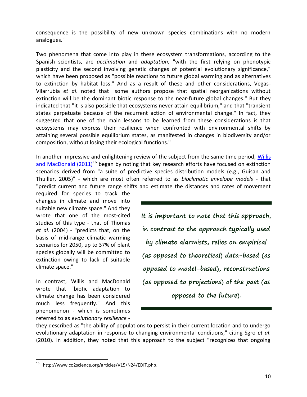consequence is the possibility of new unknown species combinations with no modern analogues."

Two phenomena that come into play in these ecosystem transformations, according to the Spanish scientists, are *acclimation* and *adaptation*, "with the first relying on phenotypic plasticity and the second involving genetic changes of potential evolutionary significance," which have been proposed as "possible reactions to future global warming and as alternatives to extinction by habitat loss." And as a result of these and other considerations, Vegas-Vilarrubia *et al*. noted that "some authors propose that spatial reorganizations without extinction will be the dominant biotic response to the near-future global changes." But they indicated that "it is also possible that ecosystems never attain equilibrium," and that "transient states perpetuate because of the recurrent action of environmental change." In fact, they suggested that one of the main lessons to be learned from these considerations is that ecosystems may express their resilience when confronted with environmental shifts by attaining several possible equilibrium states, as manifested in changes in biodiversity and/or composition, without losing their ecological functions."

In another impressive and enlightening review of the subject from the same time period, Willis and MacDonald  $(2011)^{16}$  began by noting that key research efforts have focused on extinction scenarios derived from "a suite of predictive species distribution models (e.g., Guisan and Thuiller, 2005)" - which are most often referred to as *bioclimatic envelope models* - that "predict current and future range shifts and estimate the distances and rates of movement

required for species to track the changes in climate and move into suitable new climate space." And they wrote that one of the most-cited studies of this type - that of Thomas *et al*. (2004) - "predicts that, on the basis of mid-range climatic warming scenarios for 2050, up to 37% of plant species globally will be committed to extinction owing to lack of suitable climate space."

In contrast, Willis and MacDonald wrote that "biotic adaptation to climate change has been considered much less frequently." And this phenomenon - which is sometimes referred to as *evolutionary resilience* -

 $\overline{a}$ 

**It is important to note that this approach, in contrast to the approach typically used by climate alarmists, relies on empirical (as opposed to theoretical) data-based (as opposed to model-based), reconstructions (as opposed to projections) of the past (as opposed to the future).**

they described as "the ability of populations to persist in their current location and to undergo evolutionary adaptation in response to changing environmental conditions," citing Sgro *et al*. (2010). In addition, they noted that this approach to the subject "recognizes that ongoing

<sup>&</sup>lt;sup>16</sup> http://www.co2science.org/articles/V15/N24/EDIT.php.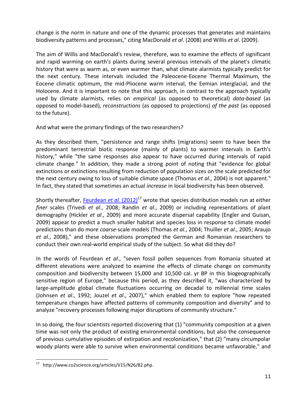change is the norm in nature and one of the dynamic processes that generates and maintains biodiversity patterns and processes," citing MacDonald *et al*. (2008) and Willis *et al*. (2009).

The aim of Willis and MacDonald's review, therefore, was to examine the effects of significant and rapid warming on earth's plants during several previous intervals of the planet's climatic history that were as warm as, or even warmer than, what climate alarmists typically predict for the next century. These intervals included the Paleocene-Eocene Thermal Maximum, the Eocene climatic optimum, the mid-Pliocene warm interval, the Eemian interglacial, and the Holocene. And it is important to note that this approach, in contrast to the approach typically used by climate alarmists, relies on *empirical* (as opposed to theoretical) *data-based* (as opposed to model-based), *reconstructions* (as opposed to projections) *of the past* (as opposed to the future).

And what were the primary findings of the two researchers?

As they described them, "persistence and range shifts (migrations) seem to have been the predominant terrestrial biotic response (mainly of plants) to warmer intervals in Earth's history," while "the same responses also appear to have occurred during intervals of rapid climate change." In addition, they made a strong point of noting that "evidence for global extinctions or extinctions resulting from reduction of population sizes on the scale predicted for the next century owing to loss of suitable climate space (Thomas *et al*., 2004) is not apparent." In fact, they stated that sometimes an actual *increase* in local biodiversity has been observed.

Shortly thereafter, [Feurdean](http://www.co2science.org/articles/V15/N26/B2.php) *et al.* (2012)<sup>17</sup> wrote that species distribution models run at either *finer* scales (Trivedi *et al*., 2008; Randin *et al*., 2009) or including representations of plant demography (Hickler *et al*., 2009) and more accurate dispersal capability (Engler and Guisan, 2009) appear to predict a much smaller habitat and species loss in response to climate model predictions than do more *coarse*-scale models (Thomas *et al*., 2004; Thuiller *et al*., 2005; Araujo *et al*., 2008)," and these observations prompted the German and Romanian researchers to conduct their own real-world empirical study of the subject. So what did they do?

In the words of Feurdean *et al*., "seven fossil pollen sequences from Romania situated at different elevations were analyzed to examine the effects of climate change on community composition and biodiversity between 15,000 and 10,500 cal. yr BP in this biogeographically sensitive region of Europe," because this period, as they described it, "was characterized by large-amplitude global climate fluctuations occurring on decadal to millennial time scales (Johnsen *et al*., 1992; Jouzel *et al*., 2007)," which enabled them to explore "how repeated temperature changes have affected patterns of community composition and diversity" and to analyze "recovery processes following major disruptions of community structure."

In so doing, the four scientists reported discovering that (1) "community composition at a given time was not only the product of existing environmental conditions, but also the consequence of previous cumulative episodes of extirpation and recolonization," that (2) "many circumpolar woody plants were able to survive when environmental conditions became unfavorable," and

 $\overline{a}$ http://www.co2science.org/articles/V15/N26/B2.php.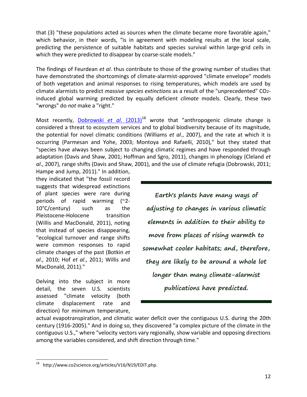that (3) "these populations acted as sources when the climate became more favorable again," which behavior, in their words, "is in agreement with modeling results at the local scale, predicting the persistence of suitable habitats and species survival within large-grid cells in which they were predicted to disappear by coarse-scale models."

The findings of Feurdean *et al*. thus contribute to those of the growing number of studies that have demonstrated the shortcomings of climate-alarmist-approved "climate envelope" models of both vegetation and animal responses to rising temperatures, which models are used by climate alarmists to predict *massive species extinctions* as a result of the "unprecedented" CO2 induced global warming predicted by equally deficient *climate* models. Clearly, these two "wrongs" do *not* make a "right."

Most recently, [Dobrowski](http://www.co2science.org/articles/V16/N19/EDIT.php) *et al.* (2013)<sup>18</sup> wrote that "anthropogenic climate change is considered a threat to ecosystem services and to global biodiversity because of its magnitude, the potential for novel climatic conditions (Williams *et al*., 2007), and the rate at which it is occurring (Parmesan and Yohe, 2003; Montoya and Rafaelli, 2010)," but they stated that "species have always been subject to changing climatic regimes and have responded through adaptation (Davis and Shaw, 2001; Hoffman and Sgro, 2011), changes in phenology (Cleland *et al*., 2007), range shifts (Davis and Shaw, 2001), and the use of climate refugia (Dobrowski, 2011;

Hampe and Jump, 2011)." In addition, they indicated that "the fossil record suggests that widespread extinctions of plant species were rare during periods of rapid warming (~2- 10°C/century) such as the Pleistocene-Holocene transition (Willis and MacDonald, 2011), noting that instead of species disappearing, "ecological turnover and range shifts were common responses to rapid climate changes of the past (Botkin *et al*., 2010; Hof *et al*., 2011; Willis and MacDonald, 2011)."

Delving into the subject in more detail, the seven U.S. scientists assessed "climate velocity (both climate displacement rate and direction) for minimum temperature,

**Earth's plants have many ways of adjusting to changes in various climatic elements in addition to their ability to move from places of rising warmth to somewhat cooler habitats; and, therefore, they are likely to be around a whole lot longer than many climate-alarmist publications have predicted.**

actual evapotranspiration, and climatic water deficit over the contiguous U.S. during the 20th century (1916-2005)." And in doing so, they discovered "a complex picture of the climate in the contiguous U.S.," where "velocity vectors vary regionally, show variable and opposing directions among the variables considered, and shift direction through time."

 $\overline{a}$ http://www.co2science.org/articles/V16/N19/EDIT.php.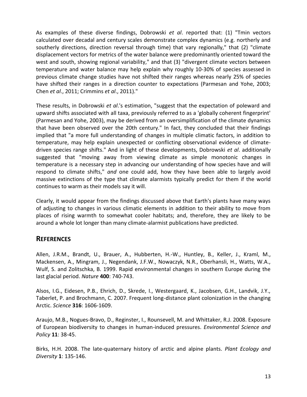As examples of these diverse findings, Dobrowski *et al*. reported that: (1) "Tmin vectors calculated over decadal and century scales demonstrate complex dynamics (e.g. northerly and southerly directions, direction reversal through time) that vary regionally," that (2) "climate displacement vectors for metrics of the water balance were predominantly oriented toward the west and south, showing regional variability," and that (3) "divergent climate vectors between temperature and water balance may help explain why roughly 10-30% of species assessed in previous climate change studies have not shifted their ranges whereas nearly 25% of species have shifted their ranges in a direction counter to expectations (Parmesan and Yohe, 2003; Chen *et al*., 2011; Crimmins *et al*., 2011)."

These results, in Dobrowski *et al*.'s estimation, "suggest that the expectation of poleward and upward shifts associated with all taxa, previously referred to as a 'globally coherent fingerprint' (Parmesan and Yohe, 2003), may be derived from an oversimplification of the climate dynamics that have been observed over the 20th century." In fact, they concluded that their findings implied that "a more full understanding of changes in multiple climatic factors, in addition to temperature, may help explain unexpected or conflicting observational evidence of climatedriven species range shifts." And in light of these developments, Dobrowski *et al*. additionally suggested that "moving away from viewing climate as simple monotonic changes in temperature is a necessary step in advancing our understanding of how species have and will respond to climate shifts," *and* one could add, how they have been able to largely avoid massive extinctions of the type that climate alarmists typically predict for them if the world continues to warm as their models say it will.

Clearly, it would appear from the findings discussed above that Earth's plants have many ways of adjusting to changes in various climatic elements in addition to their ability to move from places of rising warmth to somewhat cooler habitats; and, therefore, they are likely to be around a whole lot longer than many climate-alarmist publications have predicted.

## **REFERENCES**

Allen, J.R.M., Brandt, U., Brauer, A., Hubberten, H.-W., Huntley, B., Keller, J., Kraml, M., Mackensen, A., Mingram, J., Negendank, J.F.W., Nowaczyk, N.R., Oberhansli, H., Watts, W.A., Wulf, S. and Zolitschka, B. 1999. Rapid environmental changes in southern Europe during the last glacial period. *Nature* **400**: 740-743.

Alsos, I.G., Eidesen, P.B., Ehrich, D., Skrede, I., Westergaard, K., Jacobsen, G.H., Landvik, J.Y., Taberlet, P. and Brochmann, C. 2007. Frequent long-distance plant colonization in the changing Arctic. *Science* **316**: 1606-1609.

Araujo, M.B., Nogues-Bravo, D., Reginster, I., Rounsevell, M. and Whittaker, R.J. 2008. Exposure of European biodiversity to changes in human-induced pressures. *Environmental Science and Policy* **11**: 38-45.

Birks, H.H. 2008. The late-quaternary history of arctic and alpine plants. *Plant Ecology and Diversity* **1**: 135-146.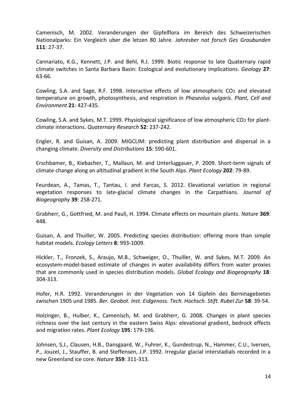Camenisch, M. 2002. Veranderungen der Gipfelflora im Bereich des Schweizerischen Nationalparks: Ein Vergleich uber die letzen 80 Jahre. *Jahresber nat forsch Ges Graubunden* **111**: 27-37.

Cannariato, K.G., Kennett, J.P. and Behl, R.J. 1999. Biotic response to late Quaternary rapid climate switches in Santa Barbara Basin: Ecological and evolutionary implications. *Geology* **27**: 63-66.

Cowling, S.A. and Sage, R.F. 1998. Interactive effects of low atmospheric CO2 and elevated temperature on growth, photosynthesis, and respiration in *Phaseolus vulgaris*. *Plant, Cell and Environment* **21**: 427-435.

Cowling, S.A. and Sykes, M.T. 1999. Physiological significance of low atmospheric CO2 for plantclimate interactions. *Quaternary Research* **52**: 237-242.

Engler, R. and Guisan, A. 2009. MIGCLIM: predicting plant distribution and dispersal in a changing climate. *Diversity and Distributions* **15**: 590-601.

Erschbamer, B., Kiebacher, T., Mallaun, M. and Unterluggauer, P. 2009. Short-term signals of climate change along an altitudinal gradient in the South Alps. *Plant Ecology* **202**: 79-89.

Feurdean, A., Tamas, T., Tantau, I. and Farcas, S. 2012. Elevational variation in regional vegetation responses to late-glacial climate changes in the Carpathians. *Journal of Biogeography* **39**: 258-271.

Grabherr, G., Gottfried, M. and Pauli, H. 1994. Climate effects on mountain plants. *Nature* **369**: 448.

Guisan, A. and Thuiller, W. 2005. Predicting species distribution: offering more than simple habitat models. *Ecology Letters* **8**: 993-1009.

Hickler, T., Fronzek, S., Araujo, M.B., Schweiger, O., Thuiller, W. and Sykes, M.T. 2009. An ecosystem-model-based estimate of changes in water availability differs from water proxies that are commonly used in species distribution models. *Global Ecology and Biogeography* **18**: 304-313.

Hofer, H.R. 1992. Veranderungen in der Vegetation von 14 Gipfeln des Berninagebietes zwischen 1905 und 1985. *Ber. Geobot. Inst. Eidgenoss. Tech. Hochsch. Stift. Rubel Zur* **58**: 39-54.

Holzinger, B., Hulber, K., Camenisch, M. and Grabherr, G. 2008. Changes in plant species richness over the last century in the eastern Swiss Alps: elevational gradient, bedrock effects and migration rates. *Plant Ecology* **195**: 179-196.

Johnsen, S.J., Clausen, H.B., Dansgaard, W., Fuhrer, K., Gundestrup, N., Hammer, C.U., Iversen, P., Jouzel, J., Stauffer, B. and Steffensen, J.P. 1992. Irregular glacial interstadials recorded in a new Greenland ice core. *Nature* **359**: 311-313.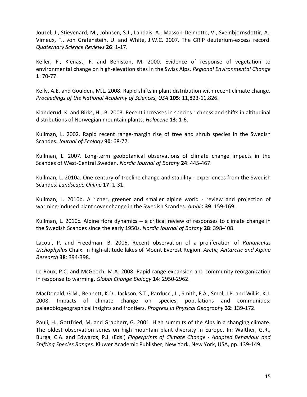Jouzel, J., Stievenard, M., Johnsen, S.J., Landais, A., Masson-Delmotte, V., Sveinbjornsdottir, A., Vimeux, F., von Grafenstein, U. and White, J.W.C. 2007. The GRIP deuterium-excess record. *Quaternary Science Reviews* **26**: 1-17.

Keller, F., Kienast, F. and Beniston, M. 2000. Evidence of response of vegetation to environmental change on high-elevation sites in the Swiss Alps. *Regional Environmental Change* **1**: 70-77.

Kelly, A.E. and Goulden, M.L. 2008. Rapid shifts in plant distribution with recent climate change. *Proceedings of the National Academy of Sciences, USA* **105**: 11,823-11,826.

Klanderud, K. and Birks, H.J.B. 2003. Recent increases in species richness and shifts in altitudinal distributions of Norwegian mountain plants. *Holocene* **13**: 1-6.

Kullman, L. 2002. Rapid recent range-margin rise of tree and shrub species in the Swedish Scandes. *Journal of Ecology* **90**: 68-77.

Kullman, L. 2007. Long-term geobotanical observations of climate change impacts in the Scandes of West-Central Sweden. *Nordic Journal of Botany* **24**: 445-467.

Kullman, L. 2010a. One century of treeline change and stability - experiences from the Swedish Scandes. *Landscape Online* **17**: 1-31.

Kullman, L. 2010b. A richer, greener and smaller alpine world - review and projection of warming-induced plant cover change in the Swedish Scandes. *Ambio* **39**: 159-169.

Kullman, L. 2010c. Alpine flora dynamics -- a critical review of responses to climate change in the Swedish Scandes since the early 1950s. *Nordic Journal of Botany* **28**: 398-408.

Lacoul, P. and Freedman, B. 2006. Recent observation of a proliferation of *Ranunculus trichophyllus* Chaix. in high-altitude lakes of Mount Everest Region. *Arctic, Antarctic and Alpine Research* **38**: 394-398.

Le Roux, P.C. and McGeoch, M.A. 2008. Rapid range expansion and community reorganization in response to warming. *Global Change Biology* **14**: 2950-2962.

MacDonald, G.M., Bennett, K.D., Jackson, S.T., Parducci, L., Smith, F.A., Smol, J.P. and Willis, K.J. 2008. Impacts of climate change on species, populations and communities: palaeobiogeographical insights and frontiers. *Progress in Physical Geography* **32**: 139-172.

Pauli, H., Gottfried, M. and Grabherr, G. 2001. High summits of the Alps in a changing climate. The oldest observation series on high mountain plant diversity in Europe. In: Walther, G.R., Burga, C.A. and Edwards, P.J. (Eds.) *Fingerprints of Climate Change - Adapted Behaviour and Shifting Species Ranges*. Kluwer Academic Publisher, New York, New York, USA, pp. 139-149.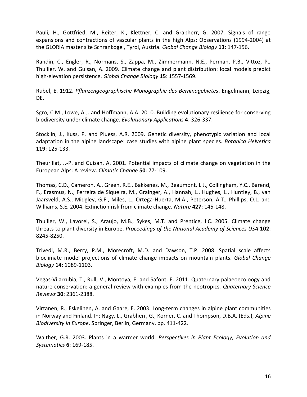Pauli, H., Gottfried, M., Reiter, K., Klettner, C. and Grabherr, G. 2007. Signals of range expansions and contractions of vascular plants in the high Alps: Observations (1994-2004) at the GLORIA master site Schrankogel, Tyrol, Austria. *Global Change Biology* **13**: 147-156.

Randin, C., Engler, R., Normans, S., Zappa, M., Zimmermann, N.E., Perman, P.B., Vittoz, P., Thuiller, W. and Guisan, A. 2009. Climate change and plant distribution: local models predict high-elevation persistence. *Global Change Biology* **15**: 1557-1569.

Rubel, E. 1912. *Pflanzengeographische Monographie des Berninagebietes*. Engelmann, Leipzig, DE.

Sgro, C.M., Lowe, A.J. and Hoffmann, A.A. 2010. Building evolutionary resilience for conserving biodiversity under climate change. *Evolutionary Applications* **4**: 326-337.

Stocklin, J., Kuss, P. and Pluess, A.R. 2009. Genetic diversity, phenotypic variation and local adaptation in the alpine landscape: case studies with alpine plant species. *Botanica Helvetica* **119**: 125-133.

Theurillat, J.-P. and Guisan, A. 2001. Potential impacts of climate change on vegetation in the European Alps: A review. *Climatic Change* **50**: 77-109.

Thomas, C.D., Cameron, A., Green, R.E., Bakkenes, M., Beaumont, L.J., Collingham, Y.C., Barend, F., Erasmus, N., Ferreira de Siqueira, M., Grainger, A., Hannah, L., Hughes, L., Huntley, B., van Jaarsveld, A.S., Midgley, G.F., Miles, L., Ortega-Huerta, M.A., Peterson, A.T., Phillips, O.L. and Williams, S.E. 2004. Extinction risk from climate change. *Nature* **427**: 145-148.

Thuiller, W., Lavorel, S., Araujo, M.B., Sykes, M.T. and Prentice, I.C. 2005. Climate change threats to plant diversity in Europe. *Proceedings of the National Academy of Sciences USA* **102**: 8245-8250.

Trivedi, M.R., Berry, P.M., Morecroft, M.D. and Dawson, T.P. 2008. Spatial scale affects bioclimate model projections of climate change impacts on mountain plants. *Global Change Biology* **14**: 1089-1103.

Vegas-Vilarrubia, T., Rull, V., Montoya, E. and Safont, E. 2011. Quaternary palaeoecoloogy and nature conservation: a general review with examples from the neotropics. *Quaternary Science Reviews* **30**: 2361-2388.

Virtanen, R., Eskelinen, A. and Gaare, E. 2003. Long-term changes in alpine plant communities in Norway and Finland. In: Nagy, L., Grabherr, G., Korner, C. and Thompson, D.B.A. (Eds.), *Alpine Biodiversity in Europe*. Springer, Berlin, Germany, pp. 411-422.

Walther, G.R. 2003. Plants in a warmer world. *Perspectives in Plant Ecology, Evolution and Systematics* **6**: 169-185.